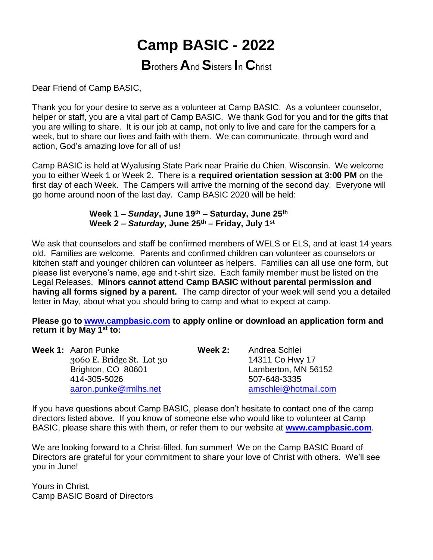# **Camp BASIC - 2022**

# **B**rothers **A**nd **S**isters **I**<sup>n</sup> **C**hrist

Dear Friend of Camp BASIC,

Thank you for your desire to serve as a volunteer at Camp BASIC. As a volunteer counselor, helper or staff, you are a vital part of Camp BASIC. We thank God for you and for the gifts that you are willing to share. It is our job at camp, not only to live and care for the campers for a week, but to share our lives and faith with them. We can communicate, through word and action, God's amazing love for all of us!

Camp BASIC is held at Wyalusing State Park near Prairie du Chien, Wisconsin. We welcome you to either Week 1 or Week 2. There is a **required orientation session at 3:00 PM** on the first day of each Week. The Campers will arrive the morning of the second day. Everyone will go home around noon of the last day. Camp BASIC 2020 will be held:

#### **Week 1 –** *Sunday***, June 19th – Saturday, June 25th Week 2 –** *Saturday,* **June 25th – Friday, July 1st**

We ask that counselors and staff be confirmed members of WELS or ELS, and at least 14 years old. Families are welcome. Parents and confirmed children can volunteer as counselors or kitchen staff and younger children can volunteer as helpers. Families can all use one form, but please list everyone's name, age and t-shirt size. Each family member must be listed on the Legal Releases. **Minors cannot attend Camp BASIC without parental permission and having all forms signed by a parent.** The camp director of your week will send you a detailed letter in May, about what you should bring to camp and what to expect at camp.

**Please go to www.campbasic.com to apply online or download an application form and return it by May 1st to:**

| <b>Week 1: Aaron Punke</b> | Week 2: | Andrea Schlei        |
|----------------------------|---------|----------------------|
| 3060 E. Bridge St. Lot 30  |         | 14311 Co Hwy 17      |
| Brighton, CO 80601         |         | Lamberton, MN 56152  |
| 414-305-5026               |         | 507-648-3335         |
| aaron.punke@rmlhs.net      |         | amschlei@hotmail.com |
|                            |         |                      |

If you have questions about Camp BASIC, please don't hesitate to contact one of the camp directors listed above. If you know of someone else who would like to volunteer at Camp BASIC, please share this with them, or refer them to our website at **www.campbasic.com**.

We are looking forward to a Christ-filled, fun summer! We on the Camp BASIC Board of Directors are grateful for your commitment to share your love of Christ with others. We'll see you in June!

Yours in Christ, Camp BASIC Board of Directors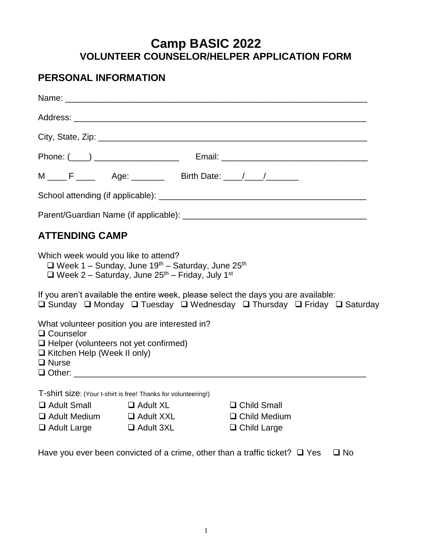# **Camp BASIC 2022 VOLUNTEER COUNSELOR/HELPER APPLICATION FORM**

### **PERSONAL INFORMATION**

|                                                                                                                   |                                                                                                                                                                   | M ____ F _____ Age: _______ Birth Date: ____/ ____/                                                                                                          |  |
|-------------------------------------------------------------------------------------------------------------------|-------------------------------------------------------------------------------------------------------------------------------------------------------------------|--------------------------------------------------------------------------------------------------------------------------------------------------------------|--|
|                                                                                                                   |                                                                                                                                                                   |                                                                                                                                                              |  |
|                                                                                                                   |                                                                                                                                                                   |                                                                                                                                                              |  |
| <b>ATTENDING CAMP</b>                                                                                             |                                                                                                                                                                   |                                                                                                                                                              |  |
| Which week would you like to attend?                                                                              | $\Box$ Week 1 – Sunday, June 19 <sup>th</sup> – Saturday, June 25 <sup>th</sup><br>$\Box$ Week 2 - Saturday, June 25 <sup>th</sup> - Friday, July 1 <sup>st</sup> |                                                                                                                                                              |  |
|                                                                                                                   |                                                                                                                                                                   | If you aren't available the entire week, please select the days you are available:<br>□ Sunday □ Monday □ Tuesday □ Wednesday □ Thursday □ Friday □ Saturday |  |
| $\Box$ Counselor<br>□ Helper (volunteers not yet confirmed)<br>$\Box$ Kitchen Help (Week II only)<br>$\Box$ Nurse | What volunteer position you are interested in?                                                                                                                    |                                                                                                                                                              |  |
|                                                                                                                   | T-shirt size: (Your t-shirt is free! Thanks for volunteering!)                                                                                                    |                                                                                                                                                              |  |
| $\Box$ Adult Small                                                                                                | □ Adult XL                                                                                                                                                        | $\Box$ Child Small                                                                                                                                           |  |
| $\Box$ Adult Medium $\Box$ Adult XXL                                                                              |                                                                                                                                                                   | $\Box$ Child Medium                                                                                                                                          |  |
| $\Box$ Adult Large                                                                                                | $\Box$ Adult 3XL                                                                                                                                                  | $\Box$ Child Large                                                                                                                                           |  |

Have you ever been convicted of a crime, other than a traffic ticket?  $\Box$  Yes  $\Box$  No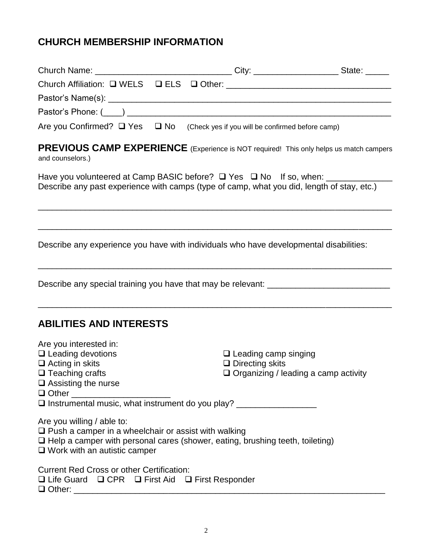# **CHURCH MEMBERSHIP INFORMATION**

| Church Name: __________________________________City: _______________________State: ______                                                                                                                                |                                                                                                      |  |
|--------------------------------------------------------------------------------------------------------------------------------------------------------------------------------------------------------------------------|------------------------------------------------------------------------------------------------------|--|
|                                                                                                                                                                                                                          |                                                                                                      |  |
|                                                                                                                                                                                                                          |                                                                                                      |  |
|                                                                                                                                                                                                                          |                                                                                                      |  |
| Are you Confirmed? $\Box$ Yes $\Box$ No (Check yes if you will be confirmed before camp)                                                                                                                                 |                                                                                                      |  |
| PREVIOUS CAMP EXPERIENCE (Experience is NOT required! This only helps us match campers<br>and counselors.)                                                                                                               |                                                                                                      |  |
| Have you volunteered at Camp BASIC before? □ Yes □ No If so, when: ____________<br>Describe any past experience with camps (type of camp, what you did, length of stay, etc.)                                            |                                                                                                      |  |
| Describe any experience you have with individuals who have developmental disabilities:                                                                                                                                   |                                                                                                      |  |
| Describe any special training you have that may be relevant: ____________________                                                                                                                                        | <u> 1989 - Johann Stoff, amerikansk politiker (d. 1989)</u>                                          |  |
| <b>ABILITIES AND INTERESTS</b>                                                                                                                                                                                           |                                                                                                      |  |
| Are you interested in:<br>$\Box$ Leading devotions<br>$\Box$ Acting in skits<br>$\Box$ Teaching crafts<br>$\square$ Assisting the nurse<br>Instrumental music, what instrument do you play? ____________________         | $\Box$ Leading camp singing<br>$\Box$ Directing skits<br>$\Box$ Organizing / leading a camp activity |  |
| Are you willing / able to:<br>$\Box$ Push a camper in a wheelchair or assist with walking<br>$\Box$ Help a camper with personal cares (shower, eating, brushing teeth, toileting)<br>$\Box$ Work with an autistic camper |                                                                                                      |  |
| <b>Current Red Cross or other Certification:</b><br>$\Box$ Life Guard $\Box$ CPR $\Box$ First Aid $\Box$ First Responder                                                                                                 |                                                                                                      |  |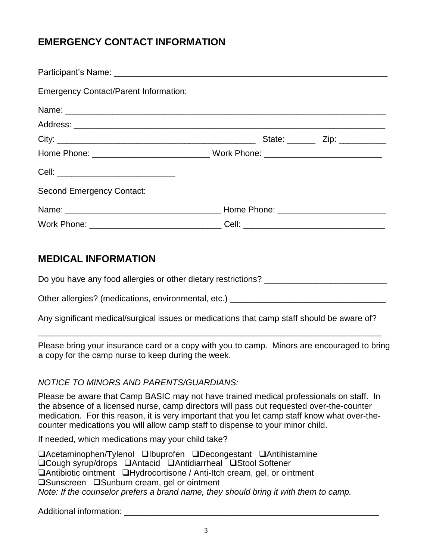### **EMERGENCY CONTACT INFORMATION**

| <b>Emergency Contact/Parent Information:</b>                                     |  |
|----------------------------------------------------------------------------------|--|
|                                                                                  |  |
|                                                                                  |  |
|                                                                                  |  |
| Home Phone: _________________________________Work Phone: _______________________ |  |
| Cell: __________________________________                                         |  |
| <b>Second Emergency Contact:</b>                                                 |  |
|                                                                                  |  |
| Work Phone: _________________________________Cell: _____________________________ |  |

### **MEDICAL INFORMATION**

Do you have any food allergies or other dietary restrictions? \_\_\_\_\_\_\_\_\_\_\_\_\_\_\_\_\_\_\_

Other allergies? (medications, environmental, etc.) \_\_\_\_\_\_\_\_\_\_\_\_\_\_\_\_\_\_\_\_\_\_\_\_\_\_\_\_

Any significant medical/surgical issues or medications that camp staff should be aware of?

\_\_\_\_\_\_\_\_\_\_\_\_\_\_\_\_\_\_\_\_\_\_\_\_\_\_\_\_\_\_\_\_\_\_\_\_\_\_\_\_\_\_\_\_\_\_\_\_\_\_\_\_\_\_\_\_\_\_\_\_\_\_\_\_\_\_\_\_\_\_\_\_\_

Please bring your insurance card or a copy with you to camp. Minors are encouraged to bring a copy for the camp nurse to keep during the week.

#### *NOTICE TO MINORS AND PARENTS/GUARDIANS:*

Please be aware that Camp BASIC may not have trained medical professionals on staff. In the absence of a licensed nurse, camp directors will pass out requested over-the-counter medication. For this reason, it is very important that you let camp staff know what over-thecounter medications you will allow camp staff to dispense to your minor child.

If needed, which medications may your child take?

Acetaminophen/Tylenol Ibuprofen Decongestant Antihistamine □Cough syrup/drops □Antacid □Antidiarrheal □Stool Softener Antibiotic ointment Hydrocortisone / Anti-Itch cream, gel, or ointment **□Sunscreen** □Sunburn cream, gel or ointment *Note: If the counselor prefers a brand name, they should bring it with them to camp.*

Additional information: **Additional** information: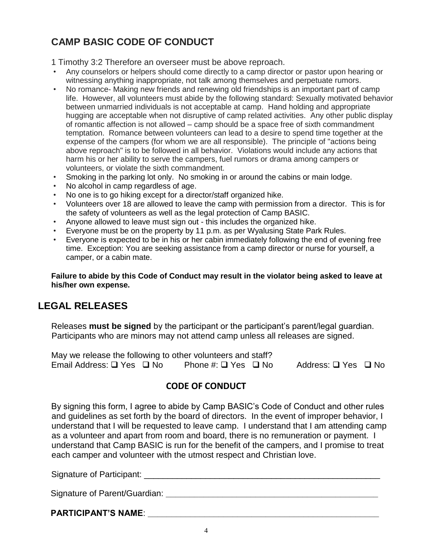# **CAMP BASIC CODE OF CONDUCT**

1 Timothy 3:2 Therefore an overseer must be above reproach.

- Any counselors or helpers should come directly to a camp director or pastor upon hearing or witnessing anything inappropriate, not talk among themselves and perpetuate rumors.
- No romance- Making new friends and renewing old friendships is an important part of camp life. However, all volunteers must abide by the following standard: Sexually motivated behavior between unmarried individuals is not acceptable at camp. Hand holding and appropriate hugging are acceptable when not disruptive of camp related activities. Any other public display of romantic affection is not allowed – camp should be a space free of sixth commandment temptation. Romance between volunteers can lead to a desire to spend time together at the expense of the campers (for whom we are all responsible). The principle of "actions being above reproach" is to be followed in all behavior. Violations would include any actions that harm his or her ability to serve the campers, fuel rumors or drama among campers or volunteers, or violate the sixth commandment.
- Smoking in the parking lot only. No smoking in or around the cabins or main lodge.
- No alcohol in camp regardless of age.
- No one is to go hiking except for a director/staff organized hike.
- Volunteers over 18 are allowed to leave the camp with permission from a director. This is for the safety of volunteers as well as the legal protection of Camp BASIC.
- Anyone allowed to leave must sign out this includes the organized hike.
- Everyone must be on the property by 11 p.m. as per Wyalusing State Park Rules.
- Everyone is expected to be in his or her cabin immediately following the end of evening free time. Exception: You are seeking assistance from a camp director or nurse for yourself, a camper, or a cabin mate.

**Failure to abide by this Code of Conduct may result in the violator being asked to leave at his/her own expense.**

### **LEGAL RELEASES**

Releases **must be signed** by the participant or the participant's parent/legal guardian. Participants who are minors may not attend camp unless all releases are signed.

| May we release the following to other volunteers and staff? |  |                               |  |                     |  |
|-------------------------------------------------------------|--|-------------------------------|--|---------------------|--|
| Email Address: □ Yes □ No                                   |  | Phone #: $\Box$ Yes $\Box$ No |  | Address: □ Yes □ No |  |

### **CODE OF CONDUCT**

By signing this form, I agree to abide by Camp BASIC's Code of Conduct and other rules and guidelines as set forth by the board of directors. In the event of improper behavior, I understand that I will be requested to leave camp. I understand that I am attending camp as a volunteer and apart from room and board, there is no remuneration or payment. I understand that Camp BASIC is run for the benefit of the campers, and I promise to treat each camper and volunteer with the utmost respect and Christian love.

Signature of Participant: \_\_\_\_\_\_\_\_\_\_\_\_\_\_\_\_\_\_\_\_\_\_\_\_\_\_\_\_\_\_\_\_\_\_\_\_\_\_\_\_\_\_\_\_\_\_\_\_\_\_ Signature of Parent/Guardian: **With the Community of Parent/Guardian: Notified a Second Community of Parent/Guardian: PARTICIPANT'S NAME**: **\_\_\_\_\_\_\_\_\_\_\_\_\_\_\_\_\_\_\_\_\_\_\_\_\_\_\_\_\_\_\_\_\_\_\_\_\_\_\_\_\_\_\_\_\_\_\_\_\_**